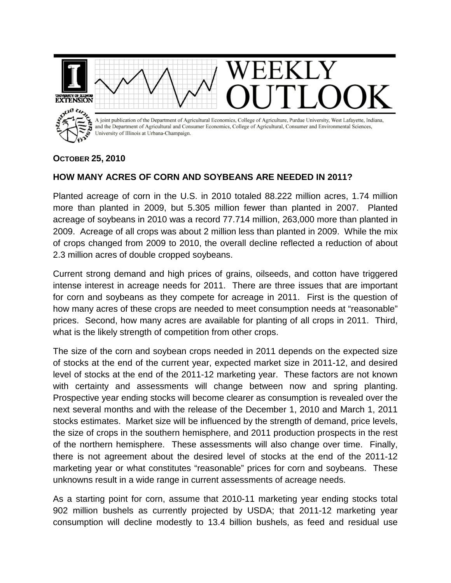

## **OCTOBER 25, 2010**

## **HOW MANY ACRES OF CORN AND SOYBEANS ARE NEEDED IN 2011?**

Planted acreage of corn in the U.S. in 2010 totaled 88.222 million acres, 1.74 million more than planted in 2009, but 5.305 million fewer than planted in 2007. Planted acreage of soybeans in 2010 was a record 77.714 million, 263,000 more than planted in 2009. Acreage of all crops was about 2 million less than planted in 2009. While the mix of crops changed from 2009 to 2010, the overall decline reflected a reduction of about 2.3 million acres of double cropped soybeans.

Current strong demand and high prices of grains, oilseeds, and cotton have triggered intense interest in acreage needs for 2011. There are three issues that are important for corn and soybeans as they compete for acreage in 2011. First is the question of how many acres of these crops are needed to meet consumption needs at "reasonable" prices. Second, how many acres are available for planting of all crops in 2011. Third, what is the likely strength of competition from other crops.

The size of the corn and soybean crops needed in 2011 depends on the expected size of stocks at the end of the current year, expected market size in 2011-12, and desired level of stocks at the end of the 2011-12 marketing year. These factors are not known with certainty and assessments will change between now and spring planting. Prospective year ending stocks will become clearer as consumption is revealed over the next several months and with the release of the December 1, 2010 and March 1, 2011 stocks estimates. Market size will be influenced by the strength of demand, price levels, the size of crops in the southern hemisphere, and 2011 production prospects in the rest of the northern hemisphere. These assessments will also change over time. Finally, there is not agreement about the desired level of stocks at the end of the 2011-12 marketing year or what constitutes "reasonable" prices for corn and soybeans. These unknowns result in a wide range in current assessments of acreage needs.

As a starting point for corn, assume that 2010-11 marketing year ending stocks total 902 million bushels as currently projected by USDA; that 2011-12 marketing year consumption will decline modestly to 13.4 billion bushels, as feed and residual use